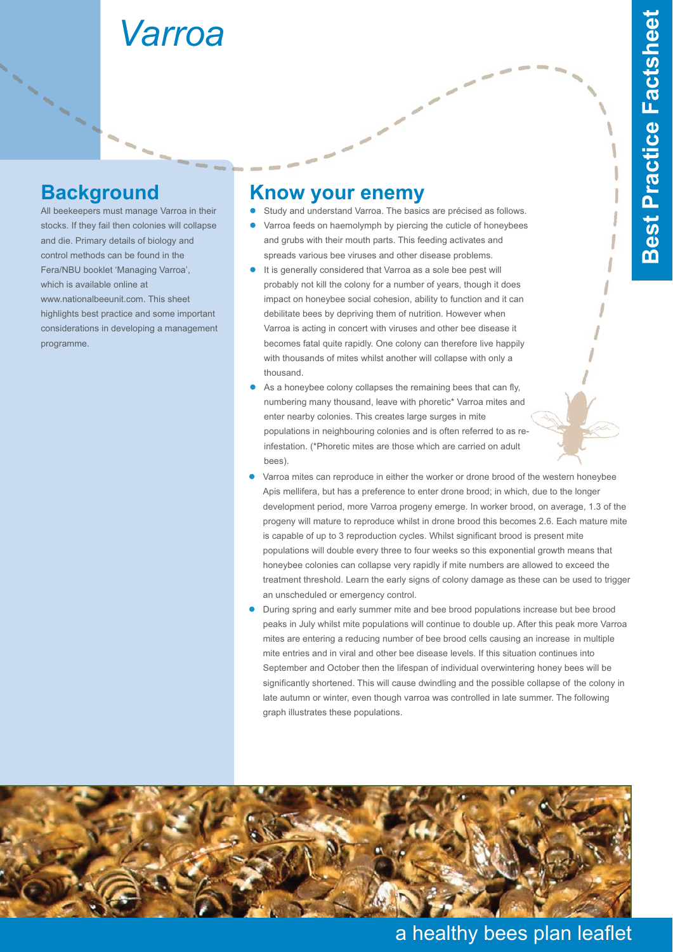# *Varroa*

# **Background**

All beekeepers must manage Varroa in their stocks. If they fail then colonies will collapse and die. Primary details of biology and control methods can be found in the Fera/NBU booklet 'Managing Varroa', which is available online at www.nationalbeeunit.com. This sheet highlights best practice and some important considerations in developing a management programme.

#### **Know your enemy**

- $\bullet$ Study and understand Varroa. The basics are précised as follows.
- $\bullet$  Varroa feeds on haemolymph by piercing the cuticle of honeybees and grubs with their mouth parts. This feeding activates and spreads various bee viruses and other disease problems.
- $\bullet$  It is generally considered that Varroa as a sole bee pest will probably not kill the colony for a number of years, though it does impact on honeybee social cohesion, ability to function and it can debilitate bees by depriving them of nutrition. However when Varroa is acting in concert with viruses and other bee disease it becomes fatal quite rapidly. One colony can therefore live happily with thousands of mites whilst another will collapse with only a thousand.
- $\bullet$  As a honeybee colony collapses the remaining bees that can fly, numbering many thousand, leave with phoretic\* Varroa mites and enter nearby colonies. This creates large surges in mite populations in neighbouring colonies and is often referred to as reinfestation. (\*Phoretic mites are those which are carried on adult bees).
- $\bullet$  Varroa mites can reproduce in either the worker or drone brood of the western honeybee Apis mellifera, but has a preference to enter drone brood; in which, due to the longer development period, more Varroa progeny emerge. In worker brood, on average, 1.3 of the progeny will mature to reproduce whilst in drone brood this becomes 2.6. Each mature mite is capable of up to 3 reproduction cycles. Whilst significant brood is present mite populations will double every three to four weeks so this exponential growth means that honeybee colonies can collapse very rapidly if mite numbers are allowed to exceed the treatment threshold. Learn the early signs of colony damage as these can be used to trigger an unscheduled or emergency control.
- $\bullet$  During spring and early summer mite and bee brood populations increase but bee brood peaks in July whilst mite populations will continue to double up. After this peak more Varroa mites are entering a reducing number of bee brood cells causing an increase in multiple mite entries and in viral and other bee disease levels. If this situation continues into September and October then the lifespan of individual overwintering honey bees will be significantly shortened. This will cause dwindling and the possible collapse of the colony in late autumn or winter, even though varroa was controlled in late summer. The following graph illustrates these populations.



## a healthy bees plan leaflet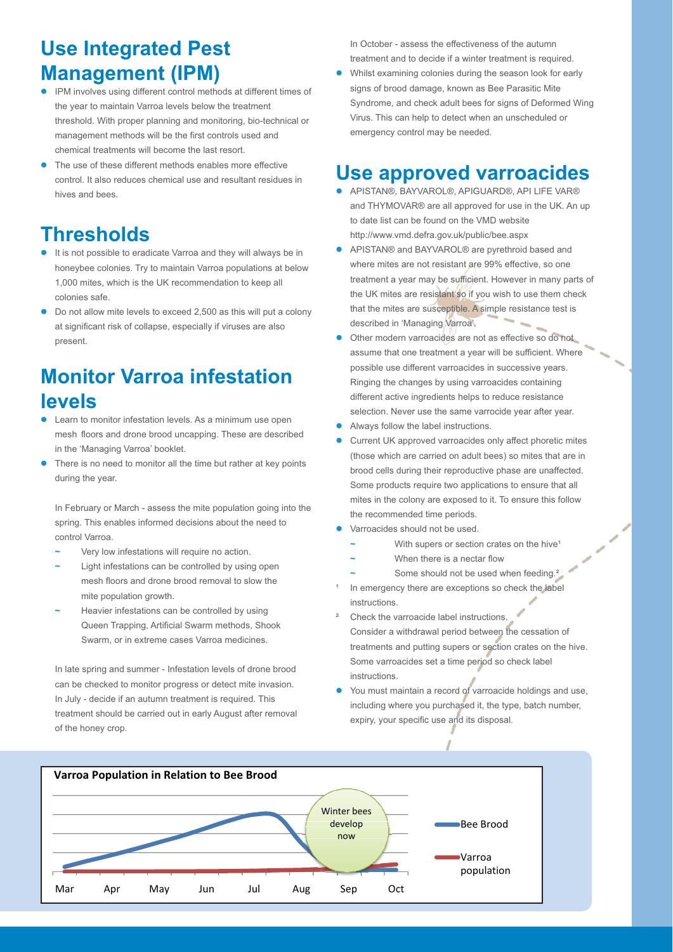# **Use Integrated Pest Management (IPM)**

- $\bullet$  IPM involves using different control methods at different times of the year to maintain Varroa levels below the treatment threshold. With proper planning and monitoring, bio-technical or management methods will be the first controls used and chemical treatments will become the last resort.
- $\bullet$  The use of these different methods enables more effective control. It also reduces chemical use and resultant residues in hives and bees.

# **Thresholds**

- It is not possible to eradicate Varroa and they will always be in honeybee colonies. Try to maintain Varroa populations at below 1,000 mites, which is the UK recommendation to keep all colonies safe.
- $\bullet$  Do not allow mite levels to exceed 2,500 as this will put a colony at significant risk of collapse, especially if viruses are also present.

# **Monitor Varroa infestation levels**

- $\bullet$  Learn to monitor infestation levels. As a minimum use open mesh floors and drone brood uncapping. These are described in the 'Managing Varroa' booklet.
- $\bullet$  There is no need to monitor all the time but rather at key points during the year.

In February or March - assess the mite population going into the spring. This enables informed decisions about the need to control Varroa.

- **~** Very low infestations will require no action.
- **~** Light infestations can be controlled by using open mesh floors and drone brood removal to slow the mite population growth.
- **~** Heavier infestations can be controlled by using Queen Trapping, Artificial Swarm methods, Shook Swarm, or in extreme cases Varroa medicines.

In late spring and summer - Infestation levels of drone brood can be checked to monitor progress or detect mite invasion. In July - decide if an autumn treatment is required. This treatment should be carried out in early August after removal of the honey crop.

In October - assess the effectiveness of the autumn treatment and to decide if a winter treatment is required.

 $\bullet$  Whilst examining colonies during the season look for early signs of brood damage, known as Bee Parasitic Mite Syndrome, and check adult bees for signs of Deformed Wing Virus. This can help to detect when an unscheduled or emergency control may be needed.

# **Use approved varroacides**

- $\bullet$  APISTAN®, BAYVAROL®, APIGUARD®, API LlFE VAR® and THYMOVAR® are all approved for use in the UK. An up to date list can be found on the VMD website http://www.vmd.defra.gov.uk/public/bee.aspx
- $\bullet$  APISTAN® and BAYVAROL® are pyrethroid based and where mites are not resistant are 99% effective, so one treatment a year may be sufficient. However in many parts of the UK mites are resistant so if you wish to use them check that the mites are susceptible. A simple resistance test is described in 'Managing Varroa'.
- $\bullet$  Other modern varroacides are not as effective so do not assume that one treatment a year will be sufficient. Where possible use different varroacides in successive years. Ringing the changes by using varroacides containing different active ingredients helps to reduce resistance selection. Never use the same varrocide year after year.
- $\bullet$ Always follow the label instructions.
- $\bullet$  Current UK approved varroacides only affect phoretic mites (those which are carried on adult bees) so mites that are in brood cells during their reproductive phase are unaffected. Some products require two applications to ensure that all mites in the colony are exposed to it. To ensure this follow the recommended time periods.
- $\bullet$  Varroacides should not be used.
	- With supers or section crates on the hive<sup>1</sup>
	- **~** When there is a nectar flow
	- Some should not be used when feeding.<sup>2</sup>
- In emergency there are exceptions so check the label instructions.
- Check the varroacide label instructions. Consider a withdrawal period between the cessation of treatments and putting supers or section crates on the hive. Some varroacides set a time period so check label instructions.
- $\bullet$  You must maintain a record of varroacide holdings and use, including where you purchased it, the type, batch number, expiry, your specific use and its disposal.

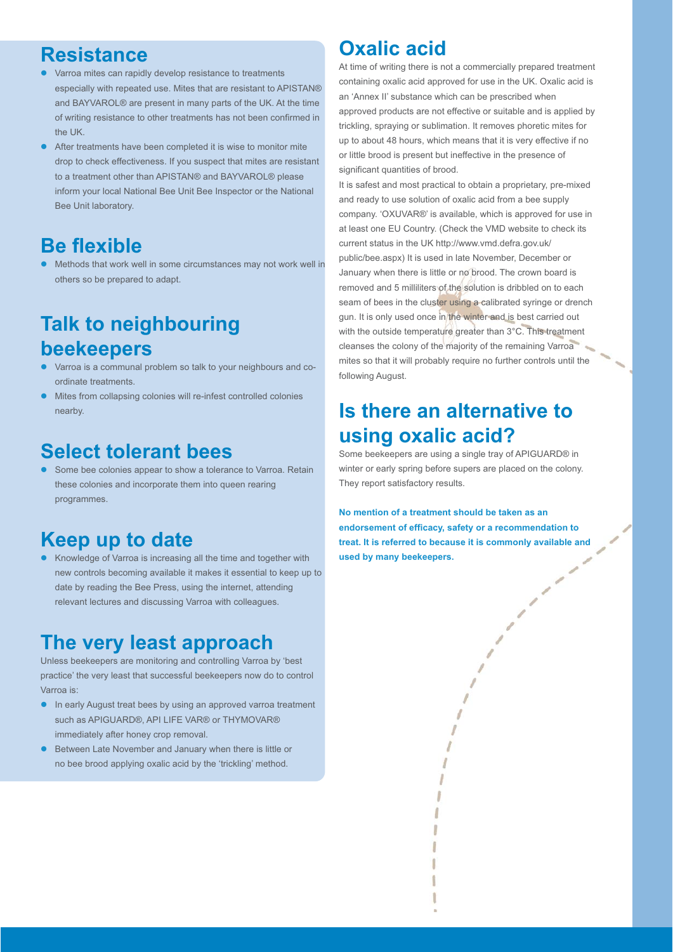#### **Resistance**

- $\bullet$  Varroa mites can rapidly develop resistance to treatments especially with repeated use. Mites that are resistant to APISTAN® and BAYVAROL® are present in many parts of the UK. At the time of writing resistance to other treatments has not been confirmed in the UK.
- $\bullet$  After treatments have been completed it is wise to monitor mite drop to check effectiveness. If you suspect that mites are resistant to a treatment other than APISTAN® and BAYVAROL® please inform your local National Bee Unit Bee Inspector or the National Bee Unit laboratory.

#### **Be flexible**

 $\bullet$  Methods that work well in some circumstances may not work well in others so be prepared to adapt.

# **Talk to neighbouring beekeepers**

- $\bullet$  Varroa is a communal problem so talk to your neighbours and coordinate treatments.
- $\bullet$  Mites from collapsing colonies will re-infest controlled colonies nearby.

#### **Select tolerant bees**

**•** Some bee colonies appear to show a tolerance to Varroa. Retain these colonies and incorporate them into queen rearing programmes.

## **Keep up to date**

 $\bullet$  Knowledge of Varroa is increasing all the time and together with new controls becoming available it makes it essential to keep up to date by reading the Bee Press, using the internet, attending relevant lectures and discussing Varroa with colleagues.

#### **The very least approach**

Unless beekeepers are monitoring and controlling Varroa by 'best practice' the very least that successful beekeepers now do to control Varroa is:

- In early August treat bees by using an approved varroa treatment such as APIGUARD®, API LIFE VAR® or THYMOVAR® immediately after honey crop removal.
- $\bullet$  Between Late November and January when there is little or no bee brood applying oxalic acid by the 'trickling' method.

# **Oxalic acid**

At time of writing there is not a commercially prepared treatment containing oxalic acid approved for use in the UK. Oxalic acid is an 'Annex II' substance which can be prescribed when approved products are not effective or suitable and is applied by trickling, spraying or sublimation. It removes phoretic mites for up to about 48 hours, which means that it is very effective if no or little brood is present but ineffective in the presence of significant quantities of brood.

It is safest and most practical to obtain a proprietary, pre-mixed and ready to use solution of oxalic acid from a bee supply company. 'OXUVAR®' is available, which is approved for use in at least one EU Country. (Check the VMD website to check its current status in the UK http://www.vmd.defra.gov.uk/ public/bee.aspx) It is used in late November, December or January when there is little or no brood. The crown board is removed and 5 milliliters of the solution is dribbled on to each seam of bees in the cluster using a calibrated syringe or drench gun. It is only used once in the winter and is best carried out with the outside temperature greater than 3°C. This treatment cleanses the colony of the majority of the remaining Varroa mites so that it will probably require no further controls until the following August.

## **Is there an alternative to using oxalic acid?**

Some beekeepers are using a single tray of APIGUARD® in winter or early spring before supers are placed on the colony. They report satisfactory results.

**No mention of a treatment should be taken as an endorsement of efficacy, safety or a recommendation to treat. It is referred to because it is commonly available and used by many beekeepers.**